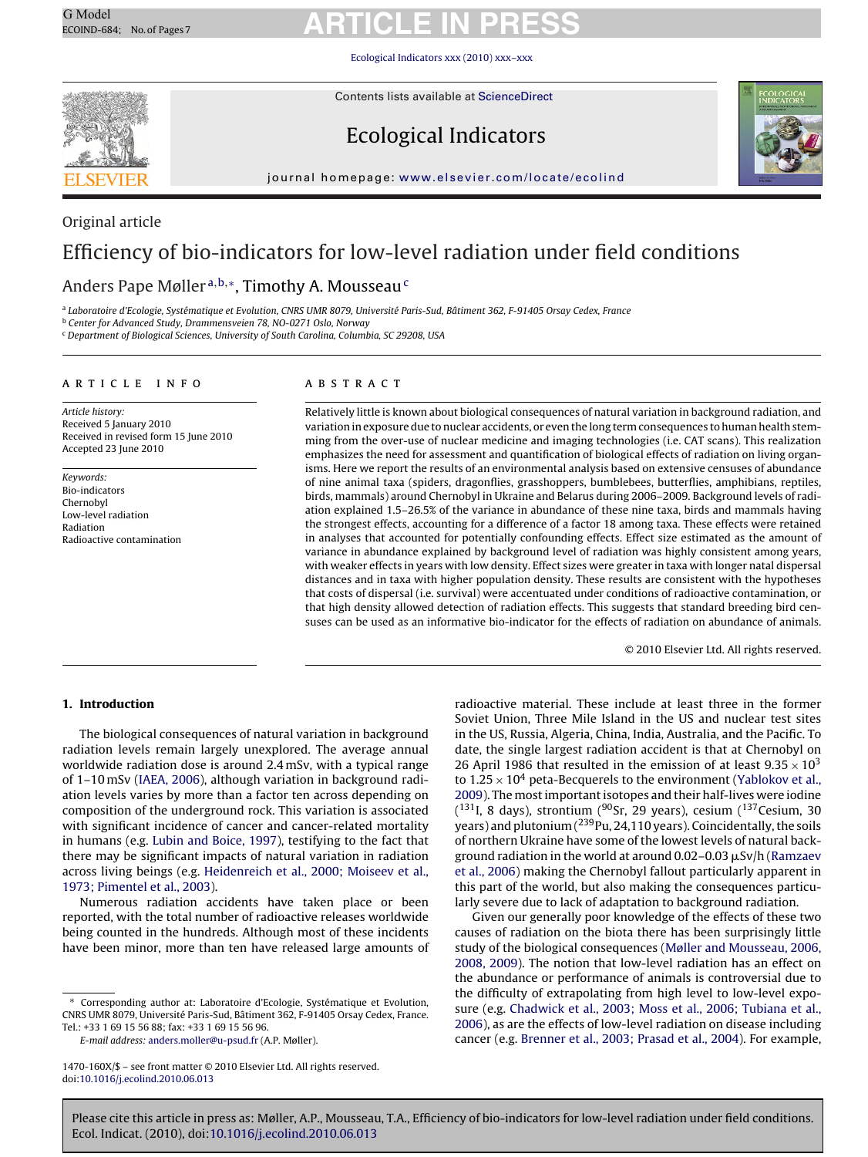[Ecological Indicators xxx \(2010\) xxx–xxx](dx.doi.org/10.1016/j.ecolind.2010.06.013)



Original article

Contents lists available at [ScienceDirect](http://www.sciencedirect.com/science/journal/1470160X)

### Ecological Indicators



journal homepage: [www.elsevier.com/locate/ecolind](http://www.elsevier.com/locate/ecolind)

### Efficiency of bio-indicators for low-level radiation under field conditions

### Anders Pape Møller<sup>a,b,\*</sup>, Timothy A. Mousseau<sup>c</sup>

<sup>a</sup> Laboratoire d'Ecologie, Systématique et Evolution, CNRS UMR 8079, Université Paris-Sud, Bâtiment 362, F-91405 Orsay Cedex, France

<sup>b</sup> Center for Advanced Study, Drammensveien 78, NO-0271 Oslo, Norway

<sup>c</sup> Department of Biological Sciences, University of South Carolina, Columbia, SC 29208, USA

#### article info

Article history: Received 5 January 2010 Received in revised form 15 June 2010 Accepted 23 June 2010

Keywords: Bio-indicators Chernobyl Low-level radiation Radiation Radioactive contamination

#### abstract

Relatively little is known about biological consequences of natural variation in background radiation, and variation in exposure due to nuclear accidents, or even the long term consequences to human health stemming from the over-use of nuclear medicine and imaging technologies (i.e. CAT scans). This realization emphasizes the need for assessment and quantification of biological effects of radiation on living organisms. Here we report the results of an environmental analysis based on extensive censuses of abundance of nine animal taxa (spiders, dragonflies, grasshoppers, bumblebees, butterflies, amphibians, reptiles, birds, mammals) around Chernobyl in Ukraine and Belarus during 2006–2009. Background levels of radiation explained 1.5–26.5% of the variance in abundance of these nine taxa, birds and mammals having the strongest effects, accounting for a difference of a factor 18 among taxa. These effects were retained in analyses that accounted for potentially confounding effects. Effect size estimated as the amount of variance in abundance explained by background level of radiation was highly consistent among years, with weaker effects in years with low density. Effect sizes were greater in taxa with longer natal dispersal distances and in taxa with higher population density. These results are consistent with the hypotheses that costs of dispersal (i.e. survival) were accentuated under conditions of radioactive contamination, or that high density allowed detection of radiation effects. This suggests that standard breeding bird censuses can be used as an informative bio-indicator for the effects of radiation on abundance of animals.

© 2010 Elsevier Ltd. All rights reserved.

#### **1. Introduction**

The biological consequences of natural variation in background radiation levels remain largely unexplored. The average annual worldwide radiation dose is around 2.4 mSv, with a typical range of 1–10 mSv [\(IAEA, 2006\),](#page-6-0) although variation in background radiation levels varies by more than a factor ten across depending on composition of the underground rock. This variation is associated with significant incidence of cancer and cancer-related mortality in humans (e.g. [Lubin and Boice, 1997\),](#page-6-0) testifying to the fact that there may be significant impacts of natural variation in radiation across living beings (e.g. [Heidenreich et al., 2000; Moiseev et al.,](#page-6-0) [1973; Pimentel et al., 2003\).](#page-6-0)

Numerous radiation accidents have taken place or been reported, with the total number of radioactive releases worldwide being counted in the hundreds. Although most of these incidents have been minor, more than ten have released large amounts of

E-mail address: [anders.moller@u-psud.fr](mailto:anders.moller@u-psud.fr) (A.P. Møller).

radioactive material. These include at least three in the former Soviet Union, Three Mile Island in the US and nuclear test sites in the US, Russia, Algeria, China, India, Australia, and the Pacific. To date, the single largest radiation accident is that at Chernobyl on 26 April 1986 that resulted in the emission of at least  $9.35 \times 10^3$ to  $1.25 \times 10^4$  peta-Becquerels to the environment [\(Yablokov et al.,](#page-6-0) [2009\).](#page-6-0) The most important isotopes and their half-lives were iodine  $(131)$ I, 8 days), strontium ( $90$ Sr, 29 years), cesium ( $137$ Cesium, 30 years) and plutonium  $(^{239}$ Pu, 24,110 years). Coincidentally, the soils of northern Ukraine have some of the lowest levels of natural background radiation in the world at around 0.02–0.03  $\mu$ Sv/h [\(Ramzaev](#page-6-0) [et al., 2006\)](#page-6-0) making the Chernobyl fallout particularly apparent in this part of the world, but also making the consequences particularly severe due to lack of adaptation to background radiation.

Given our generally poor knowledge of the effects of these two causes of radiation on the biota there has been surprisingly little study of the biological consequences ([Møller and Mousseau, 2006,](#page-6-0) [2008, 2009\).](#page-6-0) The notion that low-level radiation has an effect on the abundance or performance of animals is controversial due to the difficulty of extrapolating from high level to low-level exposure (e.g. [Chadwick et al., 2003; Moss et al., 2006; Tubiana et al.,](#page-6-0) [2006\),](#page-6-0) as are the effects of low-level radiation on disease including cancer (e.g. [Brenner et al., 2003; Prasad et al., 2004\).](#page-6-0) For example,

<sup>∗</sup> Corresponding author at: Laboratoire d'Ecologie, Systématique et Evolution, CNRS UMR 8079, Université Paris-Sud, Bâtiment 362, F-91405 Orsay Cedex, France. Tel.: +33 1 69 15 56 88; fax: +33 1 69 15 56 96.

<sup>1470-160</sup>X/\$ – see front matter © 2010 Elsevier Ltd. All rights reserved. doi:[10.1016/j.ecolind.2010.06.013](dx.doi.org/10.1016/j.ecolind.2010.06.013)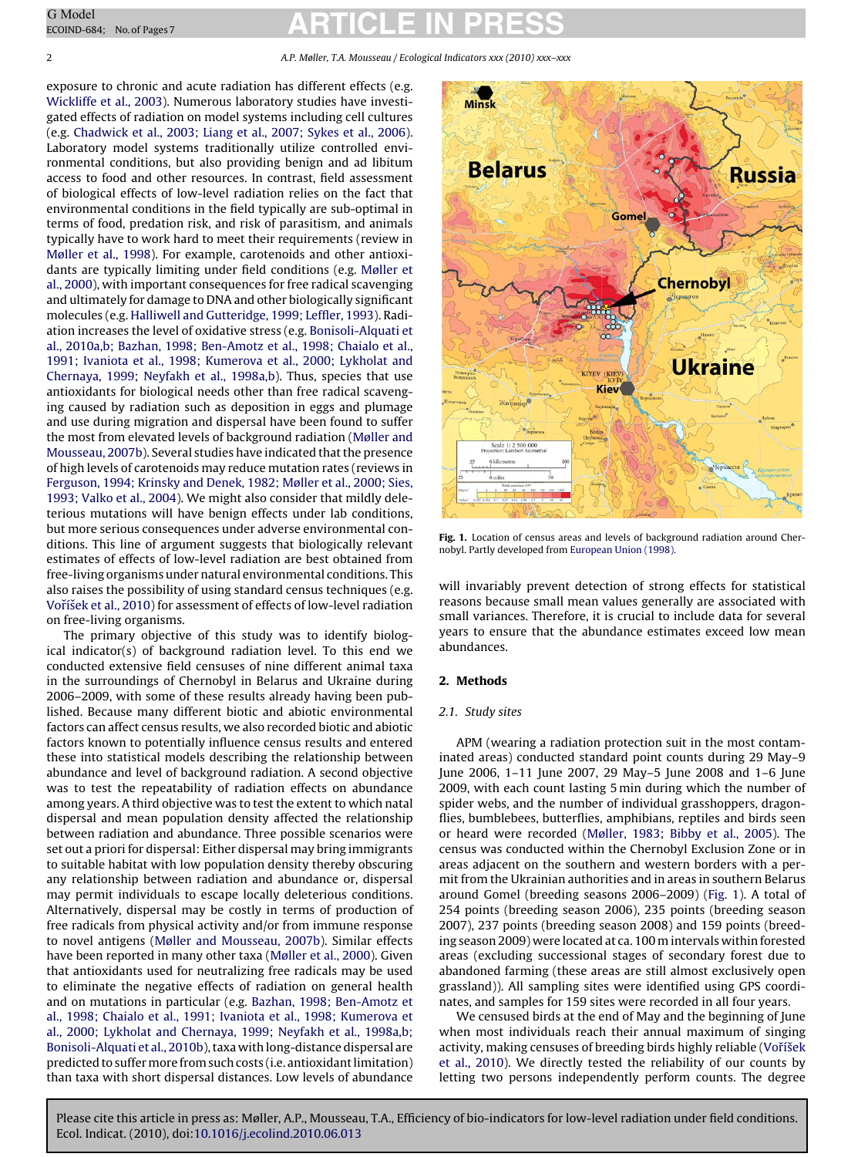<span id="page-1-0"></span>2 A.P. Møller, T.A. Mousseau / Ecological Indicators xxx (2010) xxx–xxx

exposure to chronic and acute radiation has different effects (e.g. [Wickliffe et al., 2003\).](#page-6-0) Numerous laboratory studies have investigated effects of radiation on model systems including cell cultures (e.g. [Chadwick et al., 2003; Liang et al., 2007; Sykes et al., 2006\).](#page-6-0) Laboratory model systems traditionally utilize controlled environmental conditions, but also providing benign and ad libitum access to food and other resources. In contrast, field assessment of biological effects of low-level radiation relies on the fact that environmental conditions in the field typically are sub-optimal in terms of food, predation risk, and risk of parasitism, and animals typically have to work hard to meet their requirements (review in [Møller et al., 1998\).](#page-6-0) For example, carotenoids and other antioxidants are typically limiting under field conditions (e.g. [Møller et](#page-6-0) [al., 2000\),](#page-6-0) with important consequences for free radical scavenging and ultimately for damage to DNA and other biologically significant molecules (e.g. [Halliwell and Gutteridge, 1999; Leffler, 1993\).](#page-6-0) Radiation increases the level of oxidative stress (e.g. [Bonisoli-Alquati et](#page-6-0) [al., 2010a,b; Bazhan, 1998; Ben-Amotz et al., 1998; Chaialo et al.,](#page-6-0) [1991; Ivaniota et al., 1998; Kumerova et al., 2000; Lykholat and](#page-6-0) [Chernaya, 1999; Neyfakh et al., 1998a,b\).](#page-6-0) Thus, species that use antioxidants for biological needs other than free radical scavenging caused by radiation such as deposition in eggs and plumage and use during migration and dispersal have been found to suffer the most from elevated levels of background radiation [\(Møller and](#page-6-0) [Mousseau, 2007b\).](#page-6-0) Several studies have indicated that the presence of high levels of carotenoids may reduce mutation rates (reviews in [Ferguson, 1994; Krinsky and Denek, 1982; Møller et al., 2000; Sies,](#page-6-0) [1993; Valko et al., 2004\).](#page-6-0) We might also consider that mildly deleterious mutations will have benign effects under lab conditions, but more serious consequences under adverse environmental conditions. This line of argument suggests that biologically relevant estimates of effects of low-level radiation are best obtained from free-living organisms under natural environmental conditions. This also raises the possibility of using standard census techniques (e.g. Voříšek et al., 2010) for assessment of effects of low-level radiation on free-living organisms.

The primary objective of this study was to identify biological indicator(s) of background radiation level. To this end we conducted extensive field censuses of nine different animal taxa in the surroundings of Chernobyl in Belarus and Ukraine during 2006–2009, with some of these results already having been published. Because many different biotic and abiotic environmental factors can affect census results, we also recorded biotic and abiotic factors known to potentially influence census results and entered these into statistical models describing the relationship between abundance and level of background radiation. A second objective was to test the repeatability of radiation effects on abundance among years. A third objective was to test the extent to which natal dispersal and mean population density affected the relationship between radiation and abundance. Three possible scenarios were set out a priori for dispersal: Either dispersal may bring immigrants to suitable habitat with low population density thereby obscuring any relationship between radiation and abundance or, dispersal may permit individuals to escape locally deleterious conditions. Alternatively, dispersal may be costly in terms of production of free radicals from physical activity and/or from immune response to novel antigens [\(Møller and Mousseau, 2007b\).](#page-6-0) Similar effects have been reported in many other taxa [\(Møller et al., 2000\).](#page-6-0) Given that antioxidants used for neutralizing free radicals may be used to eliminate the negative effects of radiation on general health and on mutations in particular (e.g. [Bazhan, 1998; Ben-Amotz et](#page-6-0) [al., 1998; Chaialo et al., 1991; Ivaniota et al., 1998; Kumerova et](#page-6-0) [al., 2000; Lykholat and Chernaya, 1999; Neyfakh et al., 1998a,b;](#page-6-0) [Bonisoli-Alquati et al., 2010b\),](#page-6-0) taxa with long-distance dispersal are predicted to suffer more from such costs (i.e. antioxidant limitation) than taxa with short dispersal distances. Low levels of abundance



**Fig. 1.** Location of census areas and levels of background radiation around Chernobyl. Partly developed from [European Union \(1998\).](#page-6-0)

will invariably prevent detection of strong effects for statistical reasons because small mean values generally are associated with small variances. Therefore, it is crucial to include data for several years to ensure that the abundance estimates exceed low mean abundances.

#### **2. Methods**

#### 2.1. Study sites

APM (wearing a radiation protection suit in the most contaminated areas) conducted standard point counts during 29 May–9 June 2006, 1–11 June 2007, 29 May–5 June 2008 and 1–6 June 2009, with each count lasting 5 min during which the number of spider webs, and the number of individual grasshoppers, dragonflies, bumblebees, butterflies, amphibians, reptiles and birds seen or heard were recorded [\(Møller, 1983; Bibby et al., 2005\).](#page-6-0) The census was conducted within the Chernobyl Exclusion Zone or in areas adjacent on the southern and western borders with a permit from the Ukrainian authorities and in areas in southern Belarus around Gomel (breeding seasons 2006–2009) (Fig. 1). A total of 254 points (breeding season 2006), 235 points (breeding season 2007), 237 points (breeding season 2008) and 159 points (breeding season 2009) were located at ca. 100 m intervals within forested areas (excluding successional stages of secondary forest due to abandoned farming (these areas are still almost exclusively open grassland)). All sampling sites were identified using GPS coordinates, and samples for 159 sites were recorded in all four years.

We censused birds at the end of May and the beginning of June when most individuals reach their annual maximum of singing activity, making censuses of breeding birds highly reliable (Voříšek [et al., 2010\).](#page-6-0) We directly tested the reliability of our counts by letting two persons independently perform counts. The degree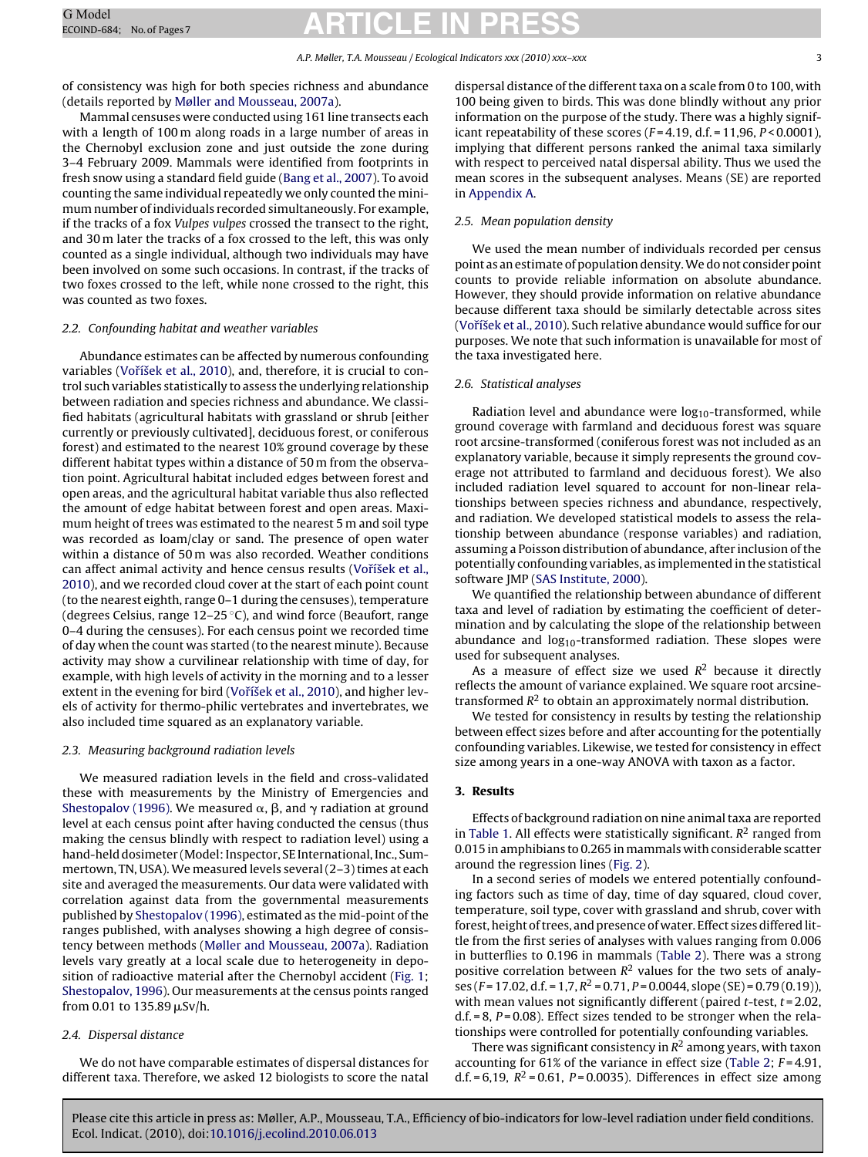#### A.P. Møller, T.A. Mousseau / Ecological Indicators xxx (2010) xxx–xxx 3

of consistency was high for both species richness and abundance (details reported by [Møller and Mousseau, 2007a\).](#page-6-0)

Mammal censuses were conducted using 161 line transects each with a length of 100 m along roads in a large number of areas in the Chernobyl exclusion zone and just outside the zone during 3–4 February 2009. Mammals were identified from footprints in fresh snow using a standard field guide [\(Bang et al., 2007\).](#page-6-0) To avoid counting the same individual repeatedly we only counted the minimum number of individuals recorded simultaneously. For example, if the tracks of a fox Vulpes vulpes crossed the transect to the right, and 30 m later the tracks of a fox crossed to the left, this was only counted as a single individual, although two individuals may have been involved on some such occasions. In contrast, if the tracks of two foxes crossed to the left, while none crossed to the right, this was counted as two foxes.

#### 2.2. Confounding habitat and weather variables

Abundance estimates can be affected by numerous confounding variables (Voříšek et al., 2010), and, therefore, it is crucial to control such variables statistically to assess the underlying relationship between radiation and species richness and abundance. We classified habitats (agricultural habitats with grassland or shrub [either currently or previously cultivated], deciduous forest, or coniferous forest) and estimated to the nearest 10% ground coverage by these different habitat types within a distance of 50 m from the observation point. Agricultural habitat included edges between forest and open areas, and the agricultural habitat variable thus also reflected the amount of edge habitat between forest and open areas. Maximum height of trees was estimated to the nearest 5 m and soil type was recorded as loam/clay or sand. The presence of open water within a distance of 50 m was also recorded. Weather conditions can affect animal activity and hence census results (Voříšek et al., [2010\),](#page-6-0) and we recorded cloud cover at the start of each point count (to the nearest eighth, range 0–1 during the censuses), temperature (degrees Celsius, range  $12-25$  °C), and wind force (Beaufort, range 0–4 during the censuses). For each census point we recorded time of day when the count was started (to the nearest minute). Because activity may show a curvilinear relationship with time of day, for example, with high levels of activity in the morning and to a lesser extent in the evening for bird (Voříšek et al., 2010), and higher levels of activity for thermo-philic vertebrates and invertebrates, we also included time squared as an explanatory variable.

#### 2.3. Measuring background radiation levels

We measured radiation levels in the field and cross-validated these with measurements by the Ministry of Emergencies and [Shestopalov \(1996\). W](#page-6-0)e measured  $\alpha$ ,  $\beta$ , and  $\gamma$  radiation at ground level at each census point after having conducted the census (thus making the census blindly with respect to radiation level) using a hand-held dosimeter (Model: Inspector, SE International, Inc., Summertown, TN, USA).We measured levels several (2–3) times at each site and averaged the measurements. Our data were validated with correlation against data from the governmental measurements published by [Shestopalov \(1996\), e](#page-6-0)stimated as the mid-point of the ranges published, with analyses showing a high degree of consistency between methods [\(Møller and Mousseau, 2007a\).](#page-6-0) Radiation levels vary greatly at a local scale due to heterogeneity in deposition of radioactive material after the Chernobyl accident ([Fig. 1;](#page-1-0) [Shestopalov, 1996\).](#page-6-0) Our measurements at the census points ranged from 0.01 to 135.89 µSv/h.

#### 2.4. Dispersal distance

We do not have comparable estimates of dispersal distances for different taxa. Therefore, we asked 12 biologists to score the natal dispersal distance of the different taxa on a scale from 0 to 100, with 100 being given to birds. This was done blindly without any prior information on the purpose of the study. There was a highly significant repeatability of these scores  $(F = 4.19, d.f. = 11, 96, P < 0.0001)$ , implying that different persons ranked the animal taxa similarly with respect to perceived natal dispersal ability. Thus we used the mean scores in the subsequent analyses. Means (SE) are reported in [Appendix A.](#page-6-0)

#### 2.5. Mean population density

We used the mean number of individuals recorded per census point as an estimate of population density.We do not consider point counts to provide reliable information on absolute abundance. However, they should provide information on relative abundance because different taxa should be similarly detectable across sites (Voříšek et al., 2010). Such relative abundance would suffice for our purposes. We note that such information is unavailable for most of the taxa investigated here.

#### 2.6. Statistical analyses

Radiation level and abundance were  $log_{10}$ -transformed, while ground coverage with farmland and deciduous forest was square root arcsine-transformed (coniferous forest was not included as an explanatory variable, because it simply represents the ground coverage not attributed to farmland and deciduous forest). We also included radiation level squared to account for non-linear relationships between species richness and abundance, respectively, and radiation. We developed statistical models to assess the relationship between abundance (response variables) and radiation, assuming a Poisson distribution of abundance, after inclusion of the potentially confounding variables, as implemented in the statistical software JMP ([SAS Institute, 2000\).](#page-6-0)

We quantified the relationship between abundance of different taxa and level of radiation by estimating the coefficient of determination and by calculating the slope of the relationship between abundance and  $log_{10}$ -transformed radiation. These slopes were used for subsequent analyses.

As a measure of effect size we used  $R^2$  because it directly reflects the amount of variance explained. We square root arcsinetransformed  $R^2$  to obtain an approximately normal distribution.

We tested for consistency in results by testing the relationship between effect sizes before and after accounting for the potentially confounding variables. Likewise, we tested for consistency in effect size among years in a one-way ANOVA with taxon as a factor.

#### **3. Results**

Effects of background radiation on nine animal taxa are reported in [Table 1. A](#page-4-0)ll effects were statistically significant.  $R^2$  ranged from 0.015 in amphibians to 0.265 in mammals with considerable scatter around the regression lines [\(Fig. 2\).](#page-3-0)

In a second series of models we entered potentially confounding factors such as time of day, time of day squared, cloud cover, temperature, soil type, cover with grassland and shrub, cover with forest, height of trees, and presence of water. Effect sizes differed little from the first series of analyses with values ranging from 0.006 in butterflies to 0.196 in mammals ([Table 2\).](#page-4-0) There was a strong positive correlation between  $R^2$  values for the two sets of analyses (F = 17.02, d.f. = 1,7,  $R^2$  = 0.71, P = 0.0044, slope (SE) = 0.79 (0.19)), with mean values not significantly different (paired  $t$ -test,  $t = 2.02$ ,  $d.f. = 8$ ,  $P = 0.08$ ). Effect sizes tended to be stronger when the relationships were controlled for potentially confounding variables.

There was significant consistency in  $R^2$  among years, with taxon accounting for  $61\%$  of the variance in effect size [\(Table 2;](#page-4-0)  $F = 4.91$ , d.f. = 6,19,  $R^2$  = 0.61, P = 0.0035). Differences in effect size among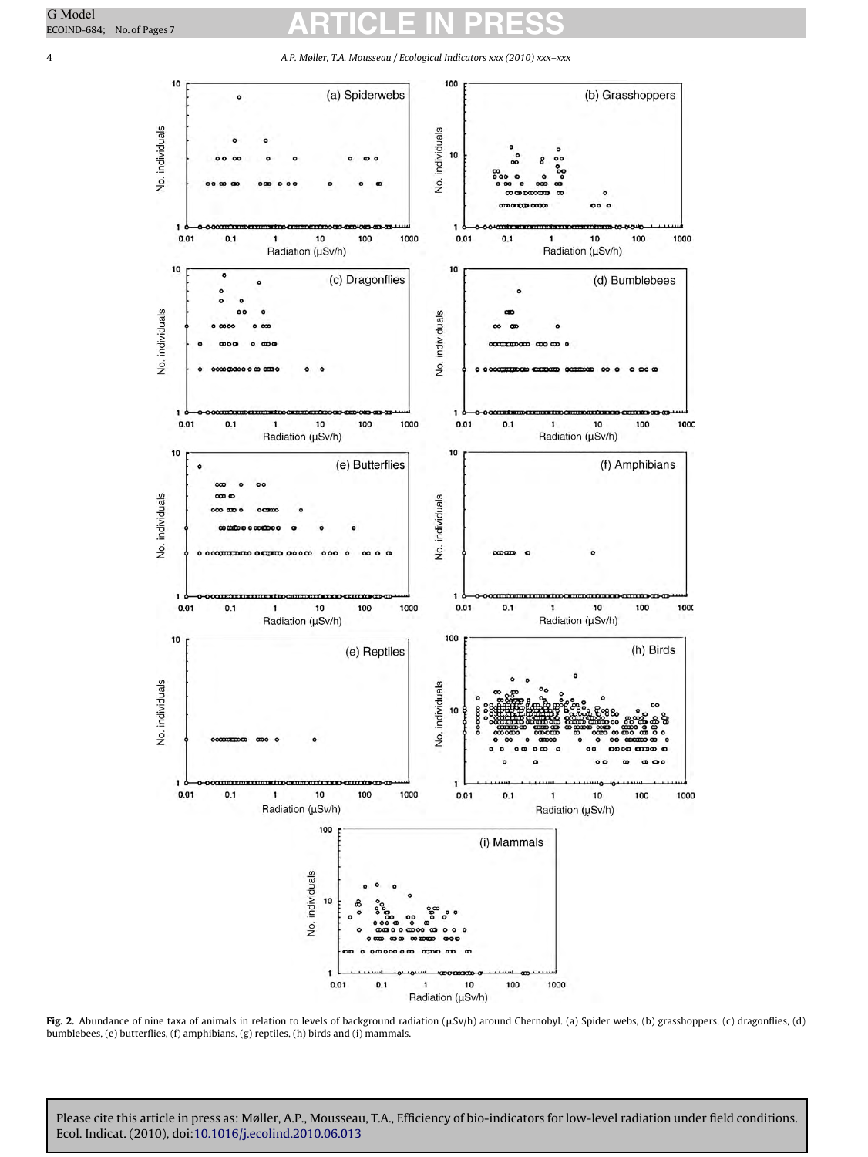10 100 (a) Spiderwebs (b) Grasshoppers  $\epsilon$ No. individuals No. individuals  $10$ 0.01  $0.1$ 10 100 1000 0.01  $0.1$ 10 100 1000 1  $\mathbf{1}$ Radiation (µSv/h) Radiation (µSv/h) 10 10 c (c) Dragonflies (d) Bumblebees ċ No. individuals No. individuals  $0.01$  $0.1$  $\mathbf{1}$ 10 100 1000  $0.01$  $0.1$  $\mathbf{1}$ 10 100 1000 Radiation (µSv/h) Radiation (µSv/h) 10 10 (e) Butterflies (f) Amphibians  $\epsilon$ No. individuals No. individuals m mm 1000 0.01  $0.1$ 10 100 1000  $0.01$  $0.1$  $\mathbf{1}$ 10 100 Radiation (µSv/h) Radiation (µSv/h) 10 100 (h) Birds (e) Reptiles No. individuals No. individuals 10 ø  $000$ 0.01  $0.1$ 1000 10 100 0.01  $0.1$ 100 1000 1  $\mathbf{1}$ 10 Radiation (µSv/h) Radiation (µSv/h) 100 (i) Mammals No. individuals 10 0.1 100 1000 0.01 10 1

<span id="page-3-0"></span>4 A.P. Møller, T.A. Mousseau / Ecological Indicators xxx (2010) xxx–xxx

**Fig. 2.** Abundance of nine taxa of animals in relation to levels of background radiation (µSv/h) around Chernobyl. (a) Spider webs, (b) grasshoppers, (c) dragonflies, (d) bumblebees, (e) butterflies, (f) amphibians, (g) reptiles, (h) birds and (i) mammals.

Radiation (µSv/h)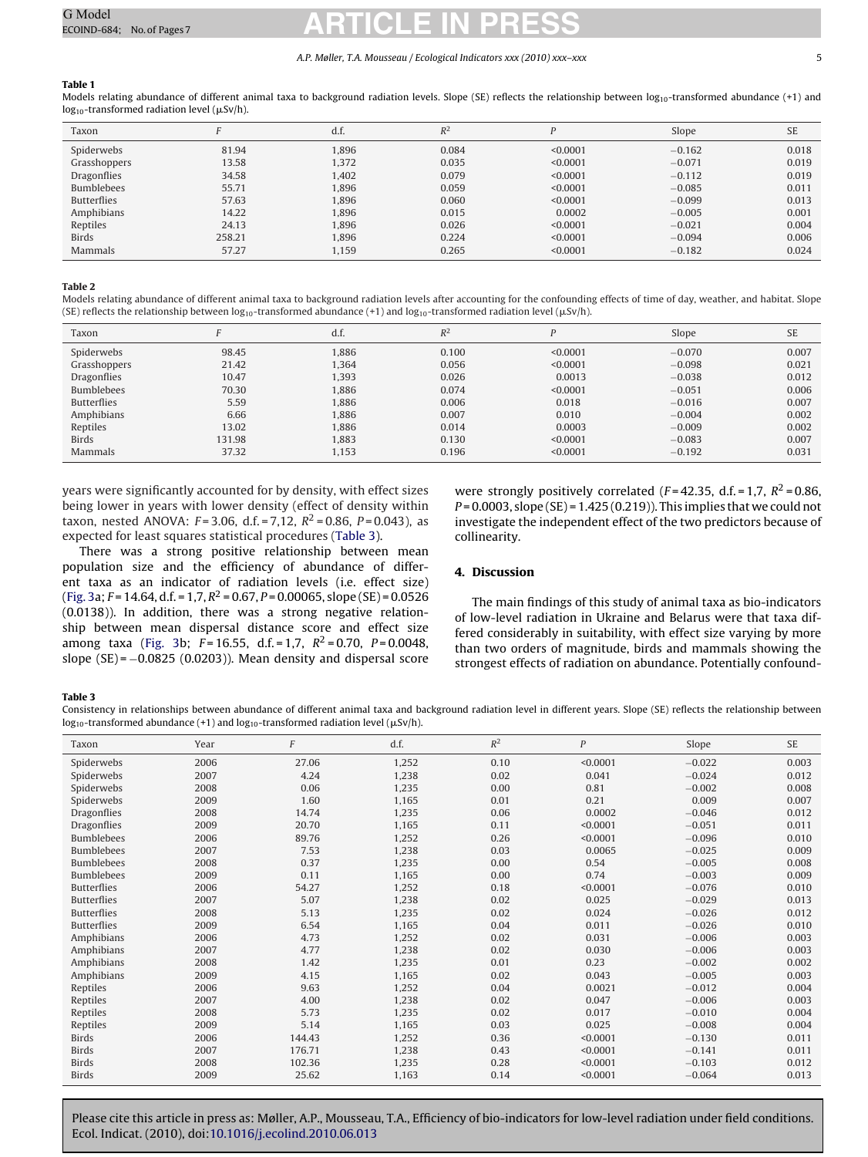#### A.P. Møller, T.A. Mousseau / Ecological Indicators xxx (2010) xxx–xxx 5

#### <span id="page-4-0"></span>**Table 1**

Models relating abundance of different animal taxa to background radiation levels. Slope (SE) reflects the relationship between  $\log_{10}$ -transformed abundance (+1) and  $\log_{10}$ -transformed radiation level ( $\mu$ Sv/h).

| Taxon              |        | d.f.  | $R^2$ | D        | Slope    | <b>SE</b> |
|--------------------|--------|-------|-------|----------|----------|-----------|
| Spiderwebs         | 81.94  | 1.896 | 0.084 | < 0.0001 | $-0.162$ | 0.018     |
| Grasshoppers       | 13.58  | 1.372 | 0.035 | < 0.0001 | $-0.071$ | 0.019     |
| Dragonflies        | 34.58  | 1.402 | 0.079 | < 0.0001 | $-0.112$ | 0.019     |
| <b>Bumblebees</b>  | 55.71  | 1.896 | 0.059 | < 0.0001 | $-0.085$ | 0.011     |
| <b>Butterflies</b> | 57.63  | 1,896 | 0.060 | < 0.0001 | $-0.099$ | 0.013     |
| Amphibians         | 14.22  | 1.896 | 0.015 | 0.0002   | $-0.005$ | 0.001     |
| Reptiles           | 24.13  | 1.896 | 0.026 | < 0.0001 | $-0.021$ | 0.004     |
| <b>Birds</b>       | 258.21 | 1.896 | 0.224 | < 0.0001 | $-0.094$ | 0.006     |
| Mammals            | 57.27  | 1,159 | 0.265 | < 0.0001 | $-0.182$ | 0.024     |

#### **Table 2**

Models relating abundance of different animal taxa to background radiation levels after accounting for the confounding effects of time of day, weather, and habitat. Slope (SE) reflects the relationship between log<sub>10</sub>-transformed abundance (+1) and log<sub>10</sub>-transformed radiation level (µSv/h).

| Taxon              |        | d.f.  | $R^2$ | D        | Slope    | <b>SE</b> |
|--------------------|--------|-------|-------|----------|----------|-----------|
| Spiderwebs         | 98.45  | 1,886 | 0.100 | < 0.0001 | $-0.070$ | 0.007     |
| Grasshoppers       | 21.42  | 1.364 | 0.056 | < 0.0001 | $-0.098$ | 0.021     |
| Dragonflies        | 10.47  | 1,393 | 0.026 | 0.0013   | $-0.038$ | 0.012     |
| <b>Bumblebees</b>  | 70.30  | 1,886 | 0.074 | < 0.0001 | $-0.051$ | 0.006     |
| <b>Butterflies</b> | 5.59   | 1.886 | 0.006 | 0.018    | $-0.016$ | 0.007     |
| Amphibians         | 6.66   | 1,886 | 0.007 | 0.010    | $-0.004$ | 0.002     |
| Reptiles           | 13.02  | 1,886 | 0.014 | 0.0003   | $-0.009$ | 0.002     |
| <b>Birds</b>       | 131.98 | 1.883 | 0.130 | < 0.0001 | $-0.083$ | 0.007     |
| Mammals            | 37.32  | 1,153 | 0.196 | < 0.0001 | $-0.192$ | 0.031     |

years were significantly accounted for by density, with effect sizes being lower in years with lower density (effect of density within taxon, nested ANOVA:  $F = 3.06$ , d.f. = 7,12,  $R^2 = 0.86$ ,  $P = 0.043$ ), as expected for least squares statistical procedures (Table 3).

There was a strong positive relationship between mean population size and the efficiency of abundance of different taxa as an indicator of radiation levels (i.e. effect size) ([Fig. 3a;](#page-5-0)  $F = 14.64$ , d.f. = 1,7,  $R^2 = 0.67$ ,  $P = 0.00065$ , slope (SE) = 0.0526 (0.0138)). In addition, there was a strong negative relationship between mean dispersal distance score and effect size among taxa ([Fig. 3b](#page-5-0);  $F = 16.55$ , d.f. = 1,7,  $R^2 = 0.70$ ,  $P = 0.0048$ , slope  $(SE) = -0.0825$  (0.0203)). Mean density and dispersal score

were strongly positively correlated ( $F = 42.35$ , d.f. = 1,7,  $R^2 = 0.86$ ,  $P = 0.0003$ , slope (SE) = 1.425 (0.219)). This implies that we could not investigate the independent effect of the two predictors because of collinearity.

#### **4. Discussion**

The main findings of this study of animal taxa as bio-indicators of low-level radiation in Ukraine and Belarus were that taxa differed considerably in suitability, with effect size varying by more than two orders of magnitude, birds and mammals showing the strongest effects of radiation on abundance. Potentially confound-

#### **Table 3**

Consistency in relationships between abundance of different animal taxa and background radiation level in different years. Slope (SE) reflects the relationship between  $\log_{10}$ -transformed abundance (+1) and  $\log_{10}$ -transformed radiation level ( $\mu$ Sv/h).

| Taxon              | Year | F      | d.f.  | $R^2$ | $\boldsymbol{P}$ | Slope    | <b>SE</b> |
|--------------------|------|--------|-------|-------|------------------|----------|-----------|
| Spiderwebs         | 2006 | 27.06  | 1,252 | 0.10  | < 0.0001         | $-0.022$ | 0.003     |
| Spiderwebs         | 2007 | 4.24   | 1.238 | 0.02  | 0.041            | $-0.024$ | 0.012     |
| Spiderwebs         | 2008 | 0.06   | 1,235 | 0.00  | 0.81             | $-0.002$ | 0.008     |
| Spiderwebs         | 2009 | 1.60   | 1,165 | 0.01  | 0.21             | 0.009    | 0.007     |
| Dragonflies        | 2008 | 14.74  | 1,235 | 0.06  | 0.0002           | $-0.046$ | 0.012     |
| <b>Dragonflies</b> | 2009 | 20.70  | 1,165 | 0.11  | < 0.0001         | $-0.051$ | 0.011     |
| <b>Bumblebees</b>  | 2006 | 89.76  | 1.252 | 0.26  | < 0.0001         | $-0.096$ | 0.010     |
| <b>Bumblebees</b>  | 2007 | 7.53   | 1,238 | 0.03  | 0.0065           | $-0.025$ | 0.009     |
| <b>Bumblebees</b>  | 2008 | 0.37   | 1,235 | 0.00  | 0.54             | $-0.005$ | 0.008     |
| <b>Bumblebees</b>  | 2009 | 0.11   | 1,165 | 0.00  | 0.74             | $-0.003$ | 0.009     |
| <b>Butterflies</b> | 2006 | 54.27  | 1,252 | 0.18  | < 0.0001         | $-0.076$ | 0.010     |
| <b>Butterflies</b> | 2007 | 5.07   | 1,238 | 0.02  | 0.025            | $-0.029$ | 0.013     |
| <b>Butterflies</b> | 2008 | 5.13   | 1,235 | 0.02  | 0.024            | $-0.026$ | 0.012     |
| <b>Butterflies</b> | 2009 | 6.54   | 1,165 | 0.04  | 0.011            | $-0.026$ | 0.010     |
| Amphibians         | 2006 | 4.73   | 1,252 | 0.02  | 0.031            | $-0.006$ | 0.003     |
| Amphibians         | 2007 | 4.77   | 1,238 | 0.02  | 0.030            | $-0.006$ | 0.003     |
| Amphibians         | 2008 | 1.42   | 1,235 | 0.01  | 0.23             | $-0.002$ | 0.002     |
| Amphibians         | 2009 | 4.15   | 1,165 | 0.02  | 0.043            | $-0.005$ | 0.003     |
| Reptiles           | 2006 | 9.63   | 1,252 | 0.04  | 0.0021           | $-0.012$ | 0.004     |
| Reptiles           | 2007 | 4.00   | 1,238 | 0.02  | 0.047            | $-0.006$ | 0.003     |
| Reptiles           | 2008 | 5.73   | 1,235 | 0.02  | 0.017            | $-0.010$ | 0.004     |
| Reptiles           | 2009 | 5.14   | 1,165 | 0.03  | 0.025            | $-0.008$ | 0.004     |
| <b>Birds</b>       | 2006 | 144.43 | 1,252 | 0.36  | < 0.0001         | $-0.130$ | 0.011     |
| <b>Birds</b>       | 2007 | 176.71 | 1.238 | 0.43  | < 0.0001         | $-0.141$ | 0.011     |
| <b>Birds</b>       | 2008 | 102.36 | 1,235 | 0.28  | < 0.0001         | $-0.103$ | 0.012     |
| <b>Birds</b>       | 2009 | 25.62  | 1,163 | 0.14  | < 0.0001         | $-0.064$ | 0.013     |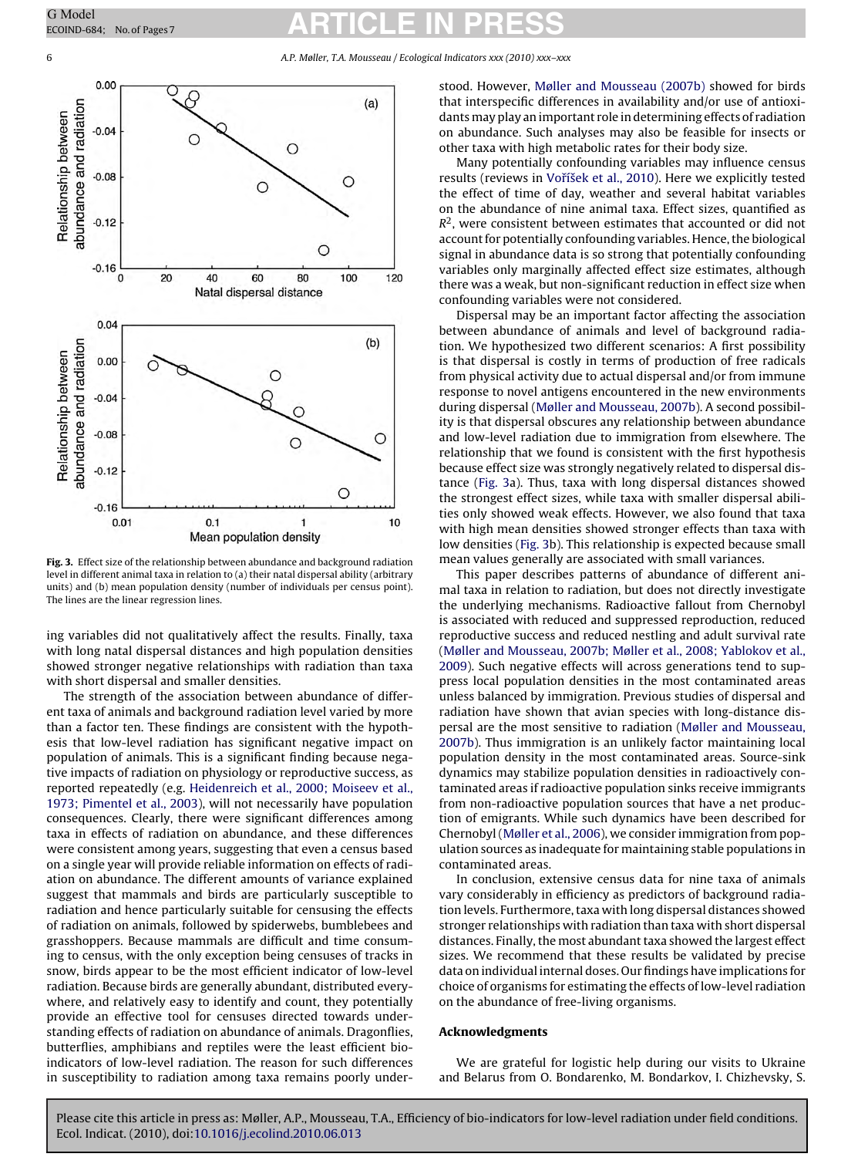<span id="page-5-0"></span>6 A.P. Møller, T.A. Mousseau / Ecological Indicators xxx (2010) xxx–xxx



**Fig. 3.** Effect size of the relationship between abundance and background radiation level in different animal taxa in relation to (a) their natal dispersal ability (arbitrary units) and (b) mean population density (number of individuals per census point). The lines are the linear regression lines.

ing variables did not qualitatively affect the results. Finally, taxa with long natal dispersal distances and high population densities showed stronger negative relationships with radiation than taxa with short dispersal and smaller densities.

The strength of the association between abundance of different taxa of animals and background radiation level varied by more than a factor ten. These findings are consistent with the hypothesis that low-level radiation has significant negative impact on population of animals. This is a significant finding because negative impacts of radiation on physiology or reproductive success, as reported repeatedly (e.g. [Heidenreich et al., 2000; Moiseev et al.,](#page-6-0) [1973; Pimentel et al., 2003\),](#page-6-0) will not necessarily have population consequences. Clearly, there were significant differences among taxa in effects of radiation on abundance, and these differences were consistent among years, suggesting that even a census based on a single year will provide reliable information on effects of radiation on abundance. The different amounts of variance explained suggest that mammals and birds are particularly susceptible to radiation and hence particularly suitable for censusing the effects of radiation on animals, followed by spiderwebs, bumblebees and grasshoppers. Because mammals are difficult and time consuming to census, with the only exception being censuses of tracks in snow, birds appear to be the most efficient indicator of low-level radiation. Because birds are generally abundant, distributed everywhere, and relatively easy to identify and count, they potentially provide an effective tool for censuses directed towards understanding effects of radiation on abundance of animals. Dragonflies, butterflies, amphibians and reptiles were the least efficient bioindicators of low-level radiation. The reason for such differences in susceptibility to radiation among taxa remains poorly understood. However, [Møller and Mousseau \(2007b\)](#page-6-0) showed for birds that interspecific differences in availability and/or use of antioxidants may play an important role in determining effects of radiation on abundance. Such analyses may also be feasible for insects or other taxa with high metabolic rates for their body size.

Many potentially confounding variables may influence census results (reviews in Voříšek et al., 2010). Here we explicitly tested the effect of time of day, weather and several habitat variables on the abundance of nine animal taxa. Effect sizes, quantified as  $R<sup>2</sup>$ , were consistent between estimates that accounted or did not account for potentially confounding variables. Hence, the biological signal in abundance data is so strong that potentially confounding variables only marginally affected effect size estimates, although there was a weak, but non-significant reduction in effect size when confounding variables were not considered.

Dispersal may be an important factor affecting the association between abundance of animals and level of background radiation. We hypothesized two different scenarios: A first possibility is that dispersal is costly in terms of production of free radicals from physical activity due to actual dispersal and/or from immune response to novel antigens encountered in the new environments during dispersal ([Møller and Mousseau, 2007b\).](#page-6-0) A second possibility is that dispersal obscures any relationship between abundance and low-level radiation due to immigration from elsewhere. The relationship that we found is consistent with the first hypothesis because effect size was strongly negatively related to dispersal distance (Fig. 3a). Thus, taxa with long dispersal distances showed the strongest effect sizes, while taxa with smaller dispersal abilities only showed weak effects. However, we also found that taxa with high mean densities showed stronger effects than taxa with low densities (Fig. 3b). This relationship is expected because small mean values generally are associated with small variances.

This paper describes patterns of abundance of different animal taxa in relation to radiation, but does not directly investigate the underlying mechanisms. Radioactive fallout from Chernobyl is associated with reduced and suppressed reproduction, reduced reproductive success and reduced nestling and adult survival rate [\(Møller and Mousseau, 2007b; Møller et al., 2008; Yablokov et al.,](#page-6-0) [2009\).](#page-6-0) Such negative effects will across generations tend to suppress local population densities in the most contaminated areas unless balanced by immigration. Previous studies of dispersal and radiation have shown that avian species with long-distance dispersal are the most sensitive to radiation [\(Møller and Mousseau,](#page-6-0) [2007b\).](#page-6-0) Thus immigration is an unlikely factor maintaining local population density in the most contaminated areas. Source-sink dynamics may stabilize population densities in radioactively contaminated areas if radioactive population sinks receive immigrants from non-radioactive population sources that have a net production of emigrants. While such dynamics have been described for Chernobyl [\(Møller et al., 2006\),](#page-6-0) we consider immigration from population sources as inadequate for maintaining stable populations in contaminated areas.

In conclusion, extensive census data for nine taxa of animals vary considerably in efficiency as predictors of background radiation levels. Furthermore, taxa with long dispersal distances showed stronger relationships with radiation than taxa with short dispersal distances. Finally, the most abundant taxa showed the largest effect sizes. We recommend that these results be validated by precise data on individual internal doses. Our findings have implications for choice of organisms for estimating the effects of low-level radiation on the abundance of free-living organisms.

#### **Acknowledgments**

We are grateful for logistic help during our visits to Ukraine and Belarus from O. Bondarenko, M. Bondarkov, I. Chizhevsky, S.